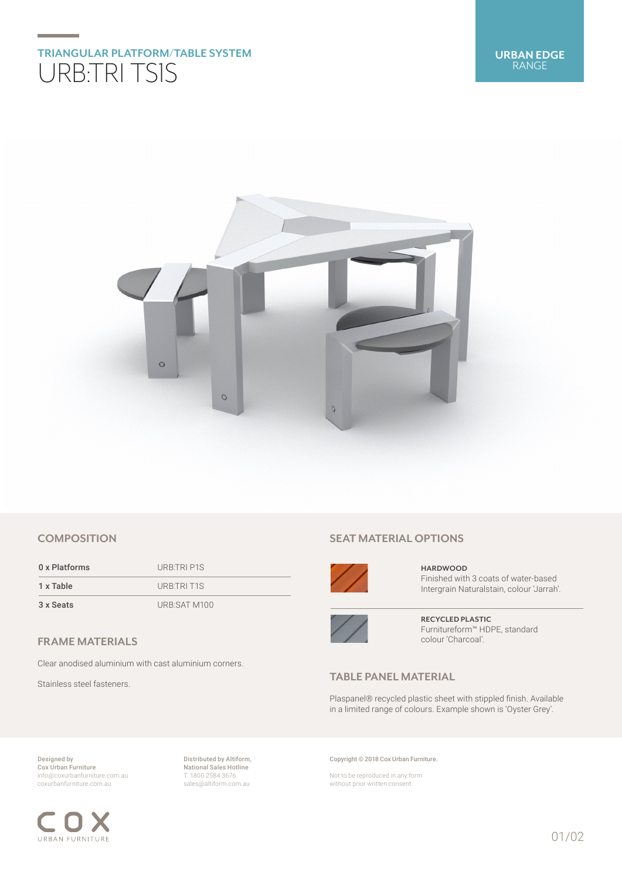## **TRIANGULAR PLATFORM/TABLE SYSTEM** URB:TRI TS1S



#### **COMPOSITION**

0 x Platforms URB:TRI P1S 1 x Table URB:TRI T1S 3 x Seats URB:SAT M100

#### **FRAME MATERIALS**

Clear anodised aluminium with cast aluminium corners.

Stainless steel fasteners.

#### **SEAT MATERIAL OPTIONS**



**HARDWOOD** Finished with 3 coats of water-based Intergrain Naturalstain, colour 'Jarrah'.



**RECYCLED PLASTIC** Furnitureform™ HDPE, standard colour 'Charcoal'.

### **TABLE PANEL MATERIAL**

Plaspanel® recycled plastic sheet with stippled finish. Available in a limited range of colours. Example shown is 'Oyster Grey'.

Designed by Cox Urban Furniture info@coxurbanfurniture.com.au coxurbanfurniture.com.au

URBAN FURNITURE

Distributed by Altiform, National Sales Hotline T. 1800 2584 3676 sales@altiform.com.au

Copyright © 2018 Cox Urban Furniture.

Not to be reproduced in any form without prior written consent.